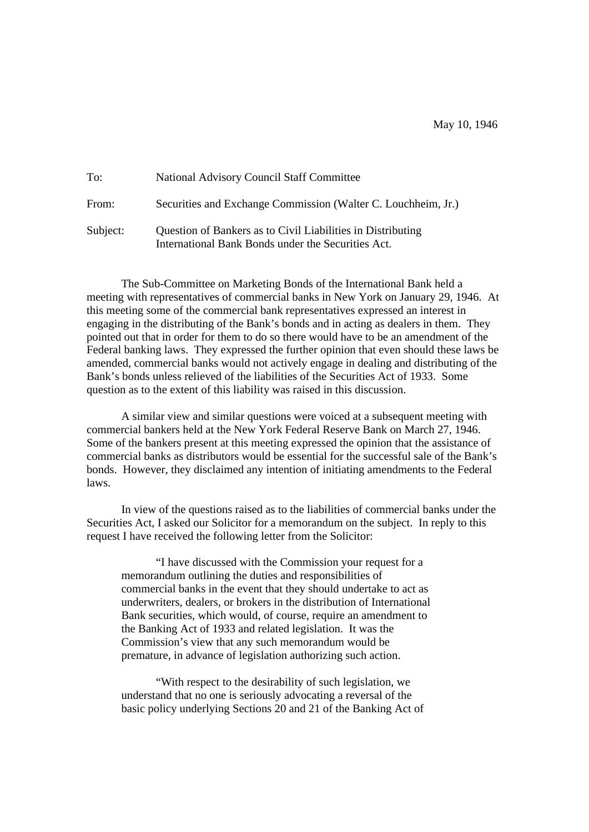| To:      | <b>National Advisory Council Staff Committee</b>                                                                  |
|----------|-------------------------------------------------------------------------------------------------------------------|
| From:    | Securities and Exchange Commission (Walter C. Louchheim, Jr.)                                                     |
| Subject: | Question of Bankers as to Civil Liabilities in Distributing<br>International Bank Bonds under the Securities Act. |

The Sub-Committee on Marketing Bonds of the International Bank held a meeting with representatives of commercial banks in New York on January 29, 1946. At this meeting some of the commercial bank representatives expressed an interest in engaging in the distributing of the Bank's bonds and in acting as dealers in them. They pointed out that in order for them to do so there would have to be an amendment of the Federal banking laws. They expressed the further opinion that even should these laws be amended, commercial banks would not actively engage in dealing and distributing of the Bank's bonds unless relieved of the liabilities of the Securities Act of 1933. Some question as to the extent of this liability was raised in this discussion.

A similar view and similar questions were voiced at a subsequent meeting with commercial bankers held at the New York Federal Reserve Bank on March 27, 1946. Some of the bankers present at this meeting expressed the opinion that the assistance of commercial banks as distributors would be essential for the successful sale of the Bank's bonds. However, they disclaimed any intention of initiating amendments to the Federal laws.

In view of the questions raised as to the liabilities of commercial banks under the Securities Act, I asked our Solicitor for a memorandum on the subject. In reply to this request I have received the following letter from the Solicitor:

"I have discussed with the Commission your request for a memorandum outlining the duties and responsibilities of commercial banks in the event that they should undertake to act as underwriters, dealers, or brokers in the distribution of International Bank securities, which would, of course, require an amendment to the Banking Act of 1933 and related legislation. It was the Commission's view that any such memorandum would be premature, in advance of legislation authorizing such action.

"With respect to the desirability of such legislation, we understand that no one is seriously advocating a reversal of the basic policy underlying Sections 20 and 21 of the Banking Act of